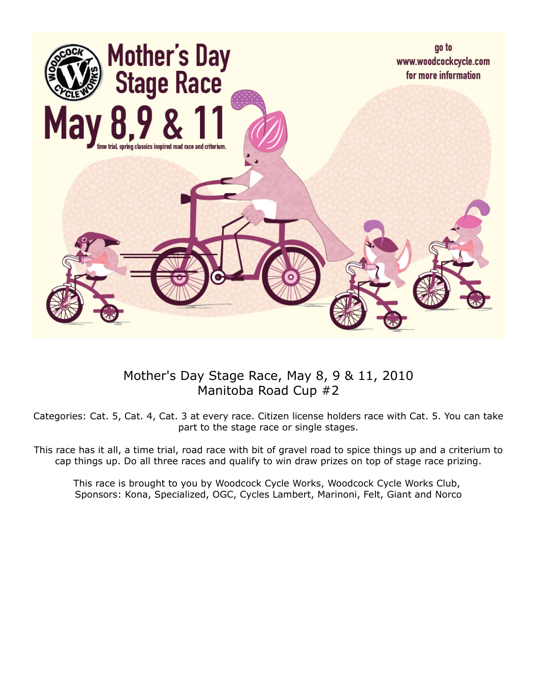

## Mother's Day Stage Race, May 8, 9 & 11, 2010 Manitoba Road Cup #2

Categories: Cat. 5, Cat. 4, Cat. 3 at every race. Citizen license holders race with Cat. 5. You can take part to the stage race or single stages.

This race has it all, a time trial, road race with bit of gravel road to spice things up and a criterium to cap things up. Do all three races and qualify to win draw prizes on top of stage race prizing.

This race is brought to you by Woodcock Cycle Works, Woodcock Cycle Works Club, Sponsors: Kona, Specialized, OGC, Cycles Lambert, Marinoni, Felt, Giant and Norco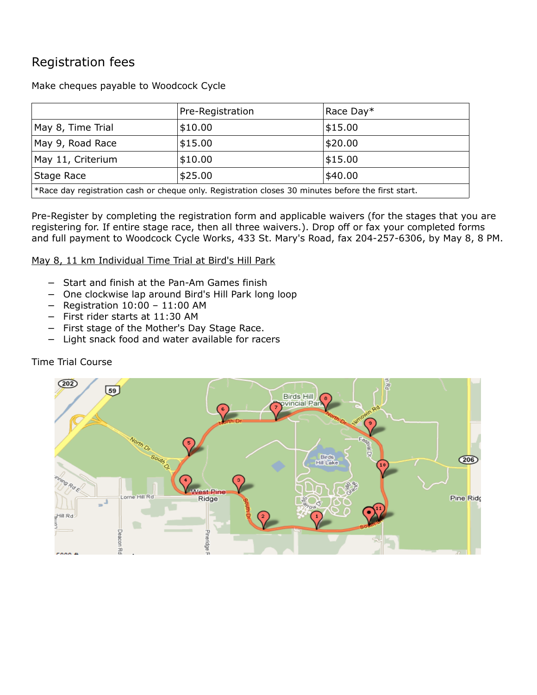# Registration fees

Make cheques payable to Woodcock Cycle

|                                                                                                    | Pre-Registration | Race Day* |
|----------------------------------------------------------------------------------------------------|------------------|-----------|
| May 8, Time Trial                                                                                  | \$10.00          | \$15.00   |
| May 9, Road Race                                                                                   | \$15.00          | \$20.00   |
| May 11, Criterium                                                                                  | \$10.00          | \$15.00   |
| Stage Race                                                                                         | \$25.00          | \$40.00   |
| *Race day registration cash or cheque only. Registration closes 30 minutes before the first start. |                  |           |

Pre-Register by completing the registration form and applicable waivers (for the stages that you are registering for. If entire stage race, then all three waivers.). Drop off or fax your completed forms and full payment to Woodcock Cycle Works, 433 St. Mary's Road, fax 204-257-6306, by May 8, 8 PM.

May 8, 11 km Individual Time Trial at Bird's Hill Park

- − Start and finish at the Pan-Am Games finish
- − One clockwise lap around Bird's Hill Park long loop
- − Registration 10:00 11:00 AM
- − First rider starts at 11:30 AM
- First stage of the Mother's Day Stage Race.
- Light snack food and water available for racers

#### Time Trial Course

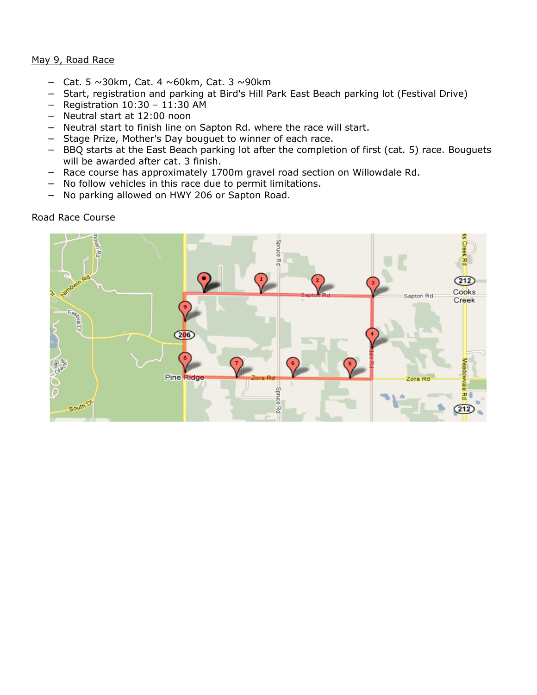#### May 9, Road Race

- − Cat. 5 ~30km, Cat. 4 ~60km, Cat. 3 ~90km
- − Start, registration and parking at Bird's Hill Park East Beach parking lot (Festival Drive)
- − Registration 10:30 11:30 AM
- − Neutral start at 12:00 noon
- − Neutral start to finish line on Sapton Rd. where the race will start.
- − Stage Prize, Mother's Day bouguet to winner of each race.
- − BBQ starts at the East Beach parking lot after the completion of first (cat. 5) race. Bouguets will be awarded after cat. 3 finish.
- − Race course has approximately 1700m gravel road section on Willowdale Rd.
- − No follow vehicles in this race due to permit limitations.
- − No parking allowed on HWY 206 or Sapton Road.

Road Race Course